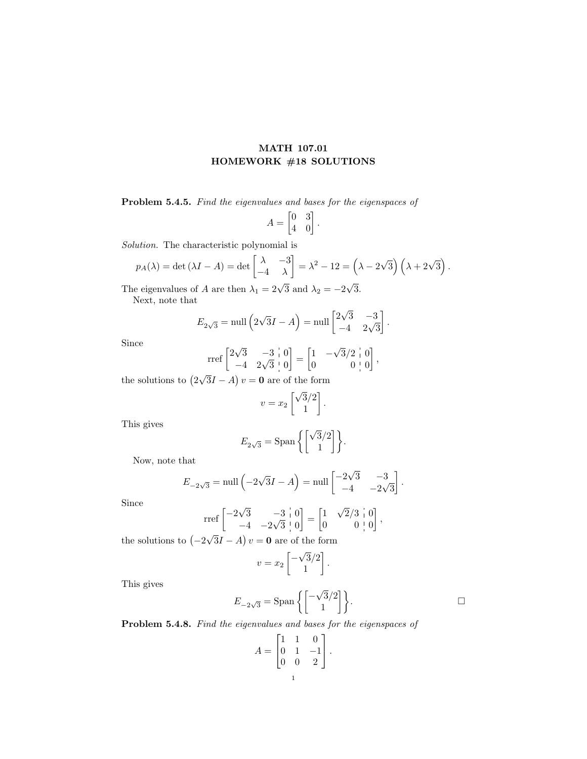## MATH 107.01 HOMEWORK #18 SOLUTIONS

Problem 5.4.5. Find the eigenvalues and bases for the eigenspaces of

$$
A = \begin{bmatrix} 0 & 3 \\ 4 & 0 \end{bmatrix}.
$$

Solution. The characteristic polynomial is

$$
p_A(\lambda) = \det(\lambda I - A) = \det \begin{bmatrix} \lambda & -3 \\ -4 & \lambda \end{bmatrix} = \lambda^2 - 12 = \left(\lambda - 2\sqrt{3}\right)\left(\lambda + 2\sqrt{3}\right).
$$

The eigenvalues of A are then  $\lambda_1 = 2\sqrt{3}$  and  $\lambda_2 = -2$ 3. Next, note that

$$
E_{2\sqrt{3}} = \text{null}\left(2\sqrt{3}I - A\right) = \text{null}\begin{bmatrix} 2\sqrt{3} & -3\\ -4 & 2\sqrt{3} \end{bmatrix}.
$$

Since

$$
\text{rref}\begin{bmatrix} 2\sqrt{3} & -3 & 0 \\ -4 & 2\sqrt{3} & 0 \end{bmatrix} = \begin{bmatrix} 1 & -\sqrt{3}/2 & 0 \\ 0 & 0 & 0 \end{bmatrix},
$$

the solutions to 2 √  $3I - A$ )  $v = 0$  are of the form

$$
v = x_2 \begin{bmatrix} \sqrt{3}/2 \\ 1 \end{bmatrix}.
$$

This gives

$$
E_{2\sqrt{3}} = \text{Span}\left\{ \begin{bmatrix} \sqrt{3}/2\\ 1 \end{bmatrix} \right\}.
$$

Now, note that

$$
E_{-2\sqrt{3}} = \text{null}\left(-2\sqrt{3}I - A\right) = \text{null}\begin{bmatrix} -2\sqrt{3} & -3\\ -4 & -2\sqrt{3} \end{bmatrix}.
$$

Since

$$
\text{rref}\begin{bmatrix} -2\sqrt{3} & -3 & 0 \\ -4 & -2\sqrt{3} & 0 \end{bmatrix} = \begin{bmatrix} 1 & \sqrt{2}/3 & 0 \\ 0 & 0 & 0 \end{bmatrix},
$$

the solutions to  $(-2)$  $3I - A$ )  $v = 0$  are of the form

$$
v = x_2 \begin{bmatrix} -\sqrt{3}/2 \\ 1 \end{bmatrix}.
$$

This gives

$$
E_{-2\sqrt{3}} = \text{Span}\left\{ \begin{bmatrix} -\sqrt{3}/2 \\ 1 \end{bmatrix} \right\}.
$$

Problem 5.4.8. Find the eigenvalues and bases for the eigenspaces of

$$
A = \begin{bmatrix} 1 & 1 & 0 \\ 0 & 1 & -1 \\ 0 & 0 & 2 \end{bmatrix}.
$$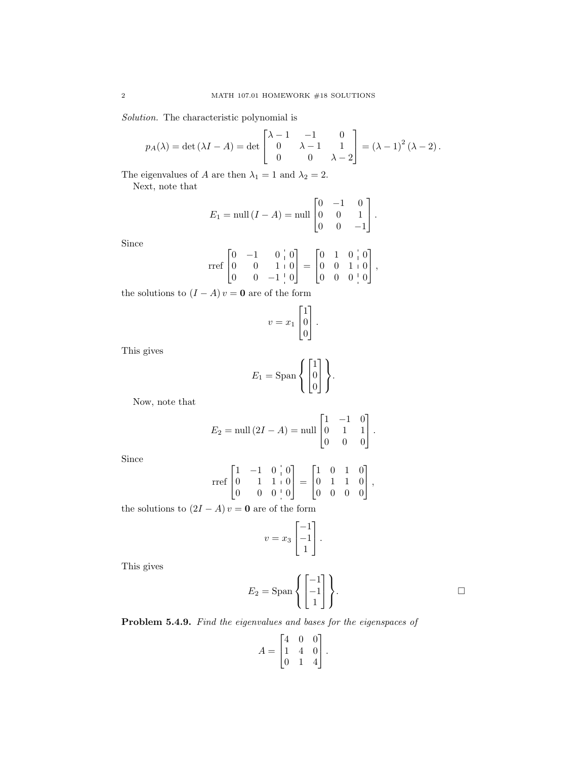Solution. The characteristic polynomial is

$$
p_A(\lambda) = \det (\lambda I - A) = \det \begin{bmatrix} \lambda - 1 & -1 & 0 \\ 0 & \lambda - 1 & 1 \\ 0 & 0 & \lambda - 2 \end{bmatrix} = (\lambda - 1)^2 (\lambda - 2).
$$

The eigenvalues of A are then  $\lambda_1 = 1$  and  $\lambda_2 = 2$ . Next, note that

$$
E_1 = \text{null} (I - A) = \text{null} \begin{bmatrix} 0 & -1 & 0 \\ 0 & 0 & 1 \\ 0 & 0 & -1 \end{bmatrix}.
$$

Since

$$
\text{rref}\begin{bmatrix} 0 & -1 & 0 & | & 0 \\ 0 & 0 & 1 & | & 0 \\ 0 & 0 & -1 & | & 0 \end{bmatrix} = \begin{bmatrix} 0 & 1 & 0 & | & 0 \\ 0 & 0 & 1 & 0 \\ 0 & 0 & 0 & | & 0 \end{bmatrix},
$$

the solutions to  $(I - A) v = 0$  are of the form

$$
v = x_1 \begin{bmatrix} 1 \\ 0 \\ 0 \end{bmatrix}.
$$

This gives

$$
E_1 = \text{Span}\left\{ \begin{bmatrix} 1 \\ 0 \\ 0 \end{bmatrix} \right\}.
$$

Now, note that

$$
E_2 = \text{null} (2I - A) = \text{null} \begin{bmatrix} 1 & -1 & 0 \\ 0 & 1 & 1 \\ 0 & 0 & 0 \end{bmatrix}.
$$

Since

$$
\text{rref}\begin{bmatrix} 1 & -1 & 0 & | & 0 \\ 0 & 1 & 1 & | & 0 \\ 0 & 0 & 0 & | & 0 \end{bmatrix} = \begin{bmatrix} 1 & 0 & 1 & 0 \\ 0 & 1 & 1 & 0 \\ 0 & 0 & 0 & 0 \end{bmatrix},
$$

the solutions to  $(2I - A)v = 0$  are of the form

$$
v = x_3 \begin{bmatrix} -1 \\ -1 \\ 1 \end{bmatrix}.
$$

This gives

$$
E_2 = \text{Span}\left\{ \begin{bmatrix} -1 \\ -1 \\ 1 \end{bmatrix} \right\}.
$$

Problem 5.4.9. Find the eigenvalues and bases for the eigenspaces of

$$
A = \begin{bmatrix} 4 & 0 & 0 \\ 1 & 4 & 0 \\ 0 & 1 & 4 \end{bmatrix}.
$$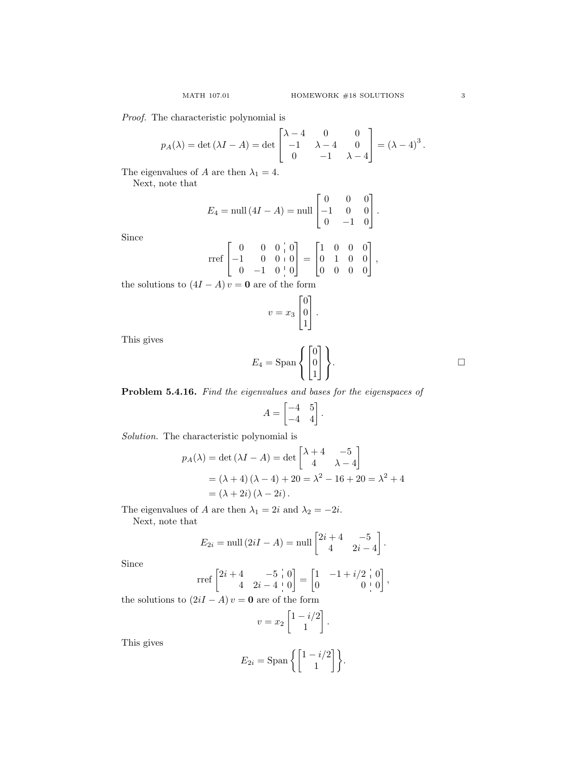Proof. The characteristic polynomial is

$$
p_A(\lambda) = \det (\lambda I - A) = \det \begin{bmatrix} \lambda - 4 & 0 & 0 \\ -1 & \lambda - 4 & 0 \\ 0 & -1 & \lambda - 4 \end{bmatrix} = (\lambda - 4)^3.
$$

The eigenvalues of A are then  $\lambda_1 = 4$ .

Next, note that

$$
E_4 = \text{null} (4I - A) = \text{null} \begin{bmatrix} 0 & 0 & 0 \\ -1 & 0 & 0 \\ 0 & -1 & 0 \end{bmatrix}.
$$

Since

$$
\text{rref}\begin{bmatrix} 0 & 0 & 0 & 0 \\ -1 & 0 & 0 & 0 \\ 0 & -1 & 0 & 0 \end{bmatrix} = \begin{bmatrix} 1 & 0 & 0 & 0 \\ 0 & 1 & 0 & 0 \\ 0 & 0 & 0 & 0 \end{bmatrix},
$$

the solutions to  $(4I - A)v = 0$  are of the form

$$
v = x_3 \begin{bmatrix} 0 \\ 0 \\ 1 \end{bmatrix}.
$$

This gives

$$
E_4 = \text{Span}\left\{ \begin{bmatrix} 0 \\ 0 \\ 1 \end{bmatrix} \right\}.
$$

Problem 5.4.16. Find the eigenvalues and bases for the eigenspaces of

$$
A = \begin{bmatrix} -4 & 5\\ -4 & 4 \end{bmatrix}
$$

.

Solution. The characteristic polynomial is

$$
p_A(\lambda) = \det (\lambda I - A) = \det \begin{bmatrix} \lambda + 4 & -5 \\ 4 & \lambda - 4 \end{bmatrix}
$$
  
=  $(\lambda + 4) (\lambda - 4) + 20 = \lambda^2 - 16 + 20 = \lambda^2 + 4$   
=  $(\lambda + 2i) (\lambda - 2i).$ 

The eigenvalues of A are then  $\lambda_1 = 2i$  and  $\lambda_2 = -2i$ .

Next, note that

$$
E_{2i} = \text{null}(2iI - A) = \text{null}\begin{bmatrix} 2i + 4 & -5 \\ 4 & 2i - 4 \end{bmatrix}.
$$

Since

$$
\text{rref}\begin{bmatrix} 2i+4 & -5 & 0 \\ 4 & 2i-4 & 0 \\ 0 & 0 & 0 \end{bmatrix} = \begin{bmatrix} 1 & -1+i/2 & 0 \\ 0 & 0 & 0 \end{bmatrix},
$$

the solutions to  $(2iI - A)v = 0$  are of the form

$$
v = x_2 \begin{bmatrix} 1 - i/2 \\ 1 \end{bmatrix}.
$$

This gives

$$
E_{2i} = \text{Span}\left\{ \begin{bmatrix} 1 - i/2 \\ 1 \end{bmatrix} \right\}.
$$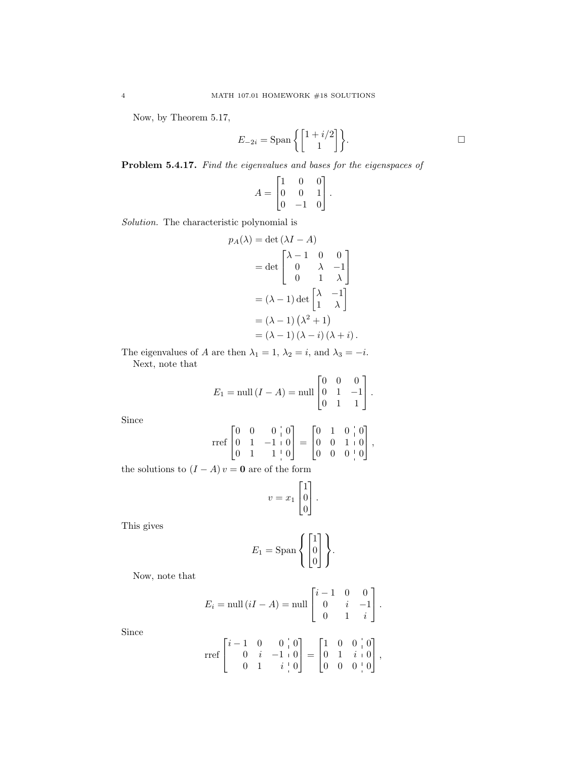Now, by Theorem 5.17,

$$
E_{-2i} = \text{Span}\left\{ \begin{bmatrix} 1+i/2 \\ 1 \end{bmatrix} \right\}.
$$

Problem 5.4.17. Find the eigenvalues and bases for the eigenspaces of

$$
A = \begin{bmatrix} 1 & 0 & 0 \\ 0 & 0 & 1 \\ 0 & -1 & 0 \end{bmatrix}.
$$

Solution. The characteristic polynomial is

$$
p_A(\lambda) = \det(\lambda I - A)
$$
  
= det  $\begin{bmatrix} \lambda - 1 & 0 & 0 \\ 0 & \lambda & -1 \\ 0 & 1 & \lambda \end{bmatrix}$   
=  $(\lambda - 1) \det \begin{bmatrix} \lambda & -1 \\ 1 & \lambda \end{bmatrix}$   
=  $(\lambda - 1) (\lambda^2 + 1)$   
=  $(\lambda - 1) (\lambda - i) (\lambda + i)$ .

The eigenvalues of A are then  $\lambda_1 = 1$ ,  $\lambda_2 = i$ , and  $\lambda_3 = -i$ . Next, note that

$$
E_1 = \text{null} (I - A) = \text{null} \begin{bmatrix} 0 & 0 & 0 \\ 0 & 1 & -1 \\ 0 & 1 & 1 \end{bmatrix}.
$$

Since

$$
\text{rref}\begin{bmatrix} 0 & 0 & 0 & 0 \\ 0 & 1 & -1 & 0 \\ 0 & 1 & 1 & 0 \end{bmatrix} = \begin{bmatrix} 0 & 1 & 0 & 0 \\ 0 & 0 & 1 & 0 \\ 0 & 0 & 0 & 0 \end{bmatrix},
$$

the solutions to  $(I - A)v = 0$  are of the form

$$
v = x_1 \begin{bmatrix} 1 \\ 0 \\ 0 \end{bmatrix}.
$$

This gives

$$
E_1 = \text{Span}\left\{ \begin{bmatrix} 1 \\ 0 \\ 0 \end{bmatrix} \right\}.
$$

Now, note that

$$
E_i = \text{null} (iI - A) = \text{null} \begin{bmatrix} i - 1 & 0 & 0 \\ 0 & i & -1 \\ 0 & 1 & i \end{bmatrix}.
$$

Since

$$
\text{rref}\begin{bmatrix} i-1 & 0 & 0 & 0 \\ 0 & i & -1 & 0 \\ 0 & 1 & i & 0 \end{bmatrix} = \begin{bmatrix} 1 & 0 & 0 & 0 \\ 0 & 1 & i & 0 \\ 0 & 0 & 0 & 0 \end{bmatrix},
$$